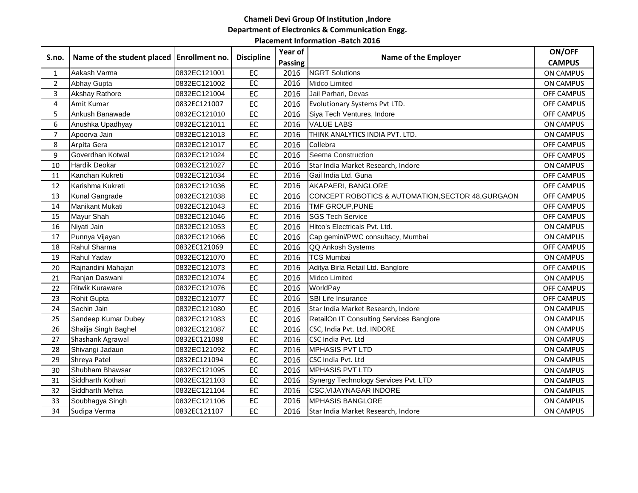# **Chameli Devi Group Of Institution ,Indore Department of Electronics & Communication Engg.**

#### **Placement Information -Batch 2016**

| S.no.          | Name of the student placed   Enrollment no. |              | <b>Discipline</b> | Year of | Name of the Employer                              | ON/OFF            |
|----------------|---------------------------------------------|--------------|-------------------|---------|---------------------------------------------------|-------------------|
|                |                                             |              |                   | Passing |                                                   | <b>CAMPUS</b>     |
| $\mathbf{1}$   | Aakash Varma                                | 0832EC121001 | EC                | 2016    | <b>NGRT Solutions</b>                             | <b>ON CAMPUS</b>  |
| $\overline{2}$ | Abhay Gupta                                 | 0832EC121002 | EC                | 2016    | <b>Midco Limited</b>                              | ON CAMPUS         |
| 3              | Akshay Rathore                              | 0832EC121004 | EC                | 2016    | Jail Parhari, Devas                               | OFF CAMPUS        |
| 4              | Amit Kumar                                  | 0832EC121007 | EC                | 2016    | Evolutionary Systems Pvt LTD.                     | OFF CAMPUS        |
| 5              | Ankush Banawade                             | 0832EC121010 | EC                | 2016    | Siya Tech Ventures, Indore                        | OFF CAMPUS        |
| 6              | Anushka Upadhyay                            | 0832EC121011 | EC                | 2016    | <b>VALUE LABS</b>                                 | <b>ON CAMPUS</b>  |
| $\overline{7}$ | Apoorva Jain                                | 0832EC121013 | $E$ C             | 2016    | THINK ANALYTICS INDIA PVT. LTD.                   | <b>ON CAMPUS</b>  |
| 8              | Arpita Gera                                 | 0832EC121017 | $E$ C             | 2016    | Collebra                                          | OFF CAMPUS        |
| 9              | Goverdhan Kotwal                            | 0832EC121024 | EC                | 2016    | Seema Construction                                | <b>OFF CAMPUS</b> |
| 10             | <b>Hardik Deokar</b>                        | 0832EC121027 | EC                | 2016    | Star India Market Research, Indore                | <b>ON CAMPUS</b>  |
| 11             | Kanchan Kukreti                             | 0832EC121034 | EC                | 2016    | Gail India Ltd. Guna                              | OFF CAMPUS        |
| 12             | Karishma Kukreti                            | 0832EC121036 | $E$ C             | 2016    | AKAPAERI, BANGLORE                                | OFF CAMPUS        |
| 13             | Kunal Gangrade                              | 0832EC121038 | EC                | 2016    | CONCEPT ROBOTICS & AUTOMATION, SECTOR 48, GURGAON | OFF CAMPUS        |
| 14             | Manikant Mukati                             | 0832EC121043 | EC                | 2016    | TMF GROUP, PUNE                                   | OFF CAMPUS        |
| 15             | Mayur Shah                                  | 0832EC121046 | EC                | 2016    | <b>SGS Tech Service</b>                           | OFF CAMPUS        |
| 16             | Niyati Jain                                 | 0832EC121053 | EC                | 2016    | Hitco's Electricals Pvt. Ltd.                     | <b>ON CAMPUS</b>  |
| 17             | Punnya Vijayan                              | 0832EC121066 | EC                | 2016    | Cap gemini/PWC consultacy, Mumbai                 | <b>ON CAMPUS</b>  |
| 18             | Rahul Sharma                                | 0832EC121069 | EC                | 2016    | QQ Ankosh Systems                                 | OFF CAMPUS        |
| 19             | Rahul Yadav                                 | 0832EC121070 | EC                | 2016    | <b>TCS Mumbai</b>                                 | ON CAMPUS         |
| 20             | Rajnandini Mahajan                          | 0832EC121073 | EC                | 2016    | Aditya Birla Retail Ltd. Banglore                 | OFF CAMPUS        |
| 21             | Ranjan Daswani                              | 0832EC121074 | $E$ C             | 2016    | Midco Limited                                     | <b>ON CAMPUS</b>  |
| 22             | <b>Ritwik Kuraware</b>                      | 0832EC121076 | $E$ C             | 2016    | WorldPay                                          | OFF CAMPUS        |
| 23             | <b>Rohit Gupta</b>                          | 0832EC121077 | EC                | 2016    | SBI Life Insurance                                | OFF CAMPUS        |
| 24             | Sachin Jain                                 | 0832EC121080 | EC                | 2016    | Star India Market Research, Indore                | <b>ON CAMPUS</b>  |
| 25             | Sandeep Kumar Dubey                         | 0832EC121083 | $E$ C             | 2016    | RetailOn IT Consulting Services Banglore          | <b>ON CAMPUS</b>  |
| 26             | Shailja Singh Baghel                        | 0832EC121087 | EC                | 2016    | CSC, India Pvt. Ltd. INDORE                       | ON CAMPUS         |
| 27             | Shashank Agrawal                            | 0832EC121088 | EC                | 2016    | CSC India Pvt. Ltd                                | <b>ON CAMPUS</b>  |
| 28             | Shivangi Jadaun                             | 0832EC121092 | EC                | 2016    | <b>MPHASIS PVT LTD</b>                            | <b>ON CAMPUS</b>  |
| 29             | Shreya Patel                                | 0832EC121094 | EC                | 2016    | CSC India Pvt. Ltd                                | ON CAMPUS         |
| 30             | Shubham Bhawsar                             | 0832EC121095 | EC                | 2016    | <b>MPHASIS PVT LTD</b>                            | <b>ON CAMPUS</b>  |
| 31             | Siddharth Kothari                           | 0832EC121103 | EC                | 2016    | Synergy Technology Services Pvt. LTD              | <b>ON CAMPUS</b>  |
| 32             | Siddharth Mehta                             | 0832EC121104 | EC                | 2016    | <b>CSC, VIJAYNAGAR INDORE</b>                     | ON CAMPUS         |
| 33             | Soubhagya Singh                             | 0832EC121106 | EC                | 2016    | <b>MPHASIS BANGLORE</b>                           | <b>ON CAMPUS</b>  |
| 34             | Sudipa Verma                                | 0832EC121107 | EC                | 2016    | Star India Market Research, Indore                | <b>ON CAMPUS</b>  |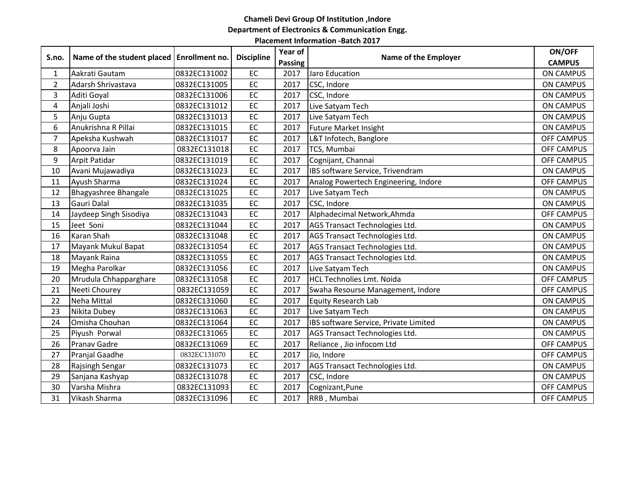# **Chameli Devi Group Of Institution ,Indore Department of Electronics & Communication Engg.**

#### **Placement Information -Batch 2017**

| S.no.          | Name of the student placed   Enrollment no. |              | <b>Discipline</b> | Year of        | Name of the Employer                  | ON/OFF            |
|----------------|---------------------------------------------|--------------|-------------------|----------------|---------------------------------------|-------------------|
|                |                                             |              |                   | <b>Passing</b> |                                       | <b>CAMPUS</b>     |
| $\mathbf{1}$   | Aakrati Gautam                              | 0832EC131002 | EC                | 2017           | Jaro Education                        | <b>ON CAMPUS</b>  |
| $\overline{2}$ | Adarsh Shrivastava                          | 0832EC131005 | EC                | 2017           | CSC, Indore                           | <b>ON CAMPUS</b>  |
| 3              | Aditi Goyal                                 | 0832EC131006 | EC                | 2017           | CSC, Indore                           | <b>ON CAMPUS</b>  |
| 4              | Anjali Joshi                                | 0832EC131012 | EC                | 2017           | Live Satyam Tech                      | <b>ON CAMPUS</b>  |
| 5              | Anju Gupta                                  | 0832EC131013 | EC                | 2017           | Live Satyam Tech                      | <b>ON CAMPUS</b>  |
| 6              | Anukrishna R Pillai                         | 0832EC131015 | EC                | 2017           | <b>Future Market Insight</b>          | <b>ON CAMPUS</b>  |
| $\overline{7}$ | Apeksha Kushwah                             | 0832EC131017 | EC                | 2017           | L&T Infotech, Banglore                | <b>OFF CAMPUS</b> |
| 8              | Apoorva Jain                                | 0832EC131018 | EC                | 2017           | TCS, Mumbai                           | <b>OFF CAMPUS</b> |
| 9              | Arpit Patidar                               | 0832EC131019 | EC                | 2017           | Cognijant, Channai                    | <b>OFF CAMPUS</b> |
| 10             | Avani Mujawadiya                            | 0832EC131023 | EC                | 2017           | IBS software Service, Trivendram      | <b>ON CAMPUS</b>  |
| 11             | Ayush Sharma                                | 0832EC131024 | EC                | 2017           | Analog Powertech Engineering, Indore  | <b>OFF CAMPUS</b> |
| 12             | Bhagyashree Bhangale                        | 0832EC131025 | EC                | 2017           | Live Satyam Tech                      | <b>ON CAMPUS</b>  |
| 13             | Gauri Dalal                                 | 0832EC131035 | EC                | 2017           | CSC, Indore                           | <b>ON CAMPUS</b>  |
| 14             | Jaydeep Singh Sisodiya                      | 0832EC131043 | EC                | 2017           | Alphadecimal Network, Ahmda           | <b>OFF CAMPUS</b> |
| 15             | Jeet Soni                                   | 0832EC131044 | EC                | 2017           | AGS Transact Technologies Ltd.        | <b>ON CAMPUS</b>  |
| 16             | Karan Shah                                  | 0832EC131048 | EC                | 2017           | AGS Transact Technologies Ltd.        | <b>ON CAMPUS</b>  |
| 17             | Mayank Mukul Bapat                          | 0832EC131054 | EC                | 2017           | AGS Transact Technologies Ltd.        | <b>ON CAMPUS</b>  |
| 18             | Mayank Raina                                | 0832EC131055 | EC                | 2017           | AGS Transact Technologies Ltd.        | <b>ON CAMPUS</b>  |
| 19             | Megha Parolkar                              | 0832EC131056 | EC                | 2017           | Live Satyam Tech                      | <b>ON CAMPUS</b>  |
| 20             | Mrudula Chhapparghare                       | 0832EC131058 | EC                | 2017           | <b>HCL Technolies Lmt. Noida</b>      | <b>OFF CAMPUS</b> |
| 21             | Neeti Chourey                               | 0832EC131059 | EC                | 2017           | Swaha Resourse Management, Indore     | <b>OFF CAMPUS</b> |
| 22             | <b>Neha Mittal</b>                          | 0832EC131060 | $E$ C             | 2017           | <b>Equity Research Lab</b>            | <b>ON CAMPUS</b>  |
| 23             | Nikita Dubey                                | 0832EC131063 | EC                | 2017           | Live Satyam Tech                      | <b>ON CAMPUS</b>  |
| 24             | Omisha Chouhan                              | 0832EC131064 | EC                | 2017           | IBS software Service, Private Limited | <b>ON CAMPUS</b>  |
| 25             | Piyush Porwal                               | 0832EC131065 | EC                | 2017           | AGS Transact Technologies Ltd.        | <b>ON CAMPUS</b>  |
| 26             | <b>Pranav Gadre</b>                         | 0832EC131069 | EC                | 2017           | Reliance, Jio infocom Ltd             | <b>OFF CAMPUS</b> |
| 27             | Pranjal Gaadhe                              | 0832EC131070 | EC                | 2017           | Jio, Indore                           | <b>OFF CAMPUS</b> |
| 28             | Rajsingh Sengar                             | 0832EC131073 | EC                | 2017           | AGS Transact Technologies Ltd.        | <b>ON CAMPUS</b>  |
| 29             | Sanjana Kashyap                             | 0832EC131078 | EC                | 2017           | CSC, Indore                           | <b>ON CAMPUS</b>  |
| 30             | Varsha Mishra                               | 0832EC131093 | EC                | 2017           | Cognizant, Pune                       | <b>OFF CAMPUS</b> |
| 31             | Vikash Sharma                               | 0832EC131096 | EC                | 2017           | RRB, Mumbai                           | OFF CAMPUS        |